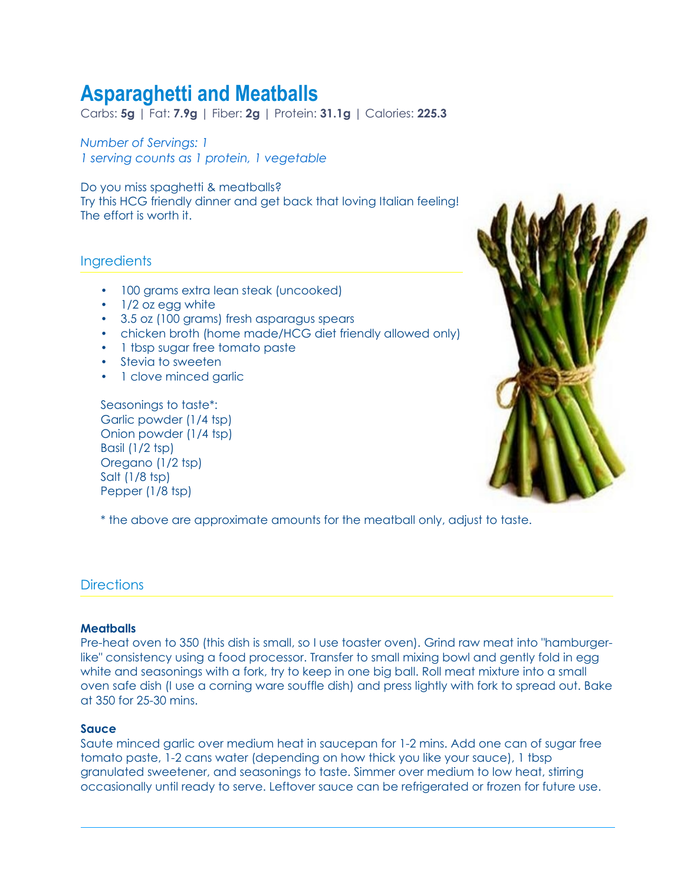# **Asparaghetti and Meatballs**

Carbs: **5g** | Fat: **7.9g** | Fiber: **2g** | Protein: **31.1g** | Calories: **225.3**

*Number of Servings: 1 1 serving counts as 1 protein, 1 vegetable*

Do you miss spaghetti & meatballs? Try this HCG friendly dinner and get back that loving Italian feeling! The effort is worth it.

## **Ingredients**

- 100 grams extra lean steak (uncooked)
- 1/2 oz egg white
- 3.5 oz (100 grams) fresh asparagus spears
- chicken broth (home made/HCG diet friendly allowed only)
- 1 tbsp sugar free tomato paste
- Stevia to sweeten
- 1 clove minced garlic

Seasonings to taste\*: Garlic powder (1/4 tsp) Onion powder (1/4 tsp) Basil (1/2 tsp) Oregano (1/2 tsp) Salt (1/8 tsp) Pepper (1/8 tsp)



\* the above are approximate amounts for the meatball only, adjust to taste.

## **Directions**

#### **Meatballs**

Pre-heat oven to 350 (this dish is small, so I use toaster oven). Grind raw meat into "hamburgerlike" consistency using a food processor. Transfer to small mixing bowl and gently fold in egg white and seasonings with a fork, try to keep in one big ball. Roll meat mixture into a small oven safe dish (I use a corning ware souffle dish) and press lightly with fork to spread out. Bake at 350 for 25-30 mins.

#### **Sauce**

Saute minced garlic over medium heat in saucepan for 1-2 mins. Add one can of sugar free tomato paste, 1-2 cans water (depending on how thick you like your sauce), 1 tbsp granulated sweetener, and seasonings to taste. Simmer over medium to low heat, stirring occasionally until ready to serve. Leftover sauce can be refrigerated or frozen for future use.